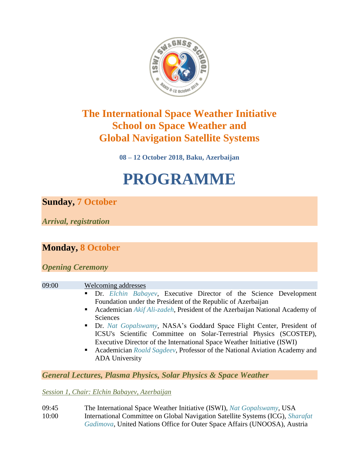

# **The International Space Weather Initiative School on Space Weather and Global Navigation Satellite Systems**

**08 – 12 October 2018, Baku, Azerbaijan**

# **PROGRAMME**

**Sunday, 7 October**

*Arrival, registration*

### **Monday, 8 October**

*Opening Ceremony*

#### 09:00 Welcoming addresses

- Dr. *Elchin Babayev*, Executive Director of the Science Development Foundation under the President of the Republic of Azerbaijan
- Academician *Akif Ali-zadeh*, President of the Azerbaijan National Academy of Sciences
- Dr. *Nat Gopalswamy*, NASA's Goddard Space Flight Center, President of ICSU's Scientific Committee on Solar-Terrestrial Physics (SCOSTEP), Executive Director of the International Space Weather Initiative (ISWI)
- Academician *Roald Sagdeev*, Professor of the National Aviation Academy and ADA University

*General Lectures, Plasma Physics, Solar Physics & Space Weather*

*Session 1, Chair: Elchin Babayev, Azerbaijan*

09:45 The International Space Weather Initiative (ISWI), *Nat Gopalswamy*, USA 10:00 International Committee on Global Navigation Satellite Systems (ICG), *Sharafat Gadimova*, United Nations Office for Outer Space Affairs (UNOOSA), Austria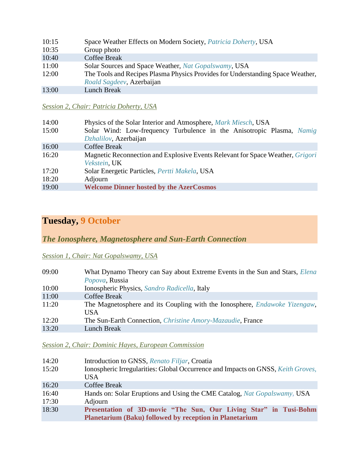| 10:15 | Space Weather Effects on Modern Society, Patricia Doherty, USA                 |
|-------|--------------------------------------------------------------------------------|
| 10:35 | Group photo                                                                    |
| 10:40 | Coffee Break                                                                   |
| 11:00 | Solar Sources and Space Weather, Nat Gopalswamy, USA                           |
| 12:00 | The Tools and Recipes Plasma Physics Provides for Understanding Space Weather, |
|       | Roald Sagdeev, Azerbaijan                                                      |
| 13:00 | Lunch Break                                                                    |

#### *Session 2, Chair: Patricia Doherty, USA*

| 14:00 | Physics of the Solar Interior and Atmosphere, <i>Mark Miesch</i> , USA                |
|-------|---------------------------------------------------------------------------------------|
| 15:00 | Solar Wind: Low-frequency Turbulence in the Anisotropic Plasma, Namig                 |
|       | Dzhalilov, Azerbaijan                                                                 |
| 16:00 | <b>Coffee Break</b>                                                                   |
| 16:20 | Magnetic Reconnection and Explosive Events Relevant for Space Weather, <i>Grigori</i> |
|       | Vekstein, UK                                                                          |
| 17:20 | Solar Energetic Particles, Pertti Makela, USA                                         |
| 18:20 | Adjourn                                                                               |
| 19:00 | <b>Welcome Dinner hosted by the AzerCosmos</b>                                        |

### **Tuesday, 9 October**

*The Ionosphere, Magnetosphere and Sun-Earth Connection*

#### *Session 1, Chair: Nat Gopalswamy, USA*

| What Dynamo Theory can Say about Extreme Events in the Sun and Stars, <i>Elena</i><br>Popova, Russia |
|------------------------------------------------------------------------------------------------------|
| Ionospheric Physics, Sandro Radicella, Italy                                                         |
| <b>Coffee Break</b>                                                                                  |
| The Magnetosphere and its Coupling with the Ionosphere, <i>Endawoke Yizengaw</i> ,<br>USA.           |
| The Sun-Earth Connection, <i>Christine Amory-Mazaudie</i> , France                                   |
| <b>Lunch Break</b>                                                                                   |
|                                                                                                      |

#### *Session 2, Chair: Dominic Hayes, European Commission*

| 14:20<br>15:20 | Introduction to GNSS, Renato Filjar, Croatia<br>Ionospheric Irregularities: Global Occurrence and Impacts on GNSS, Keith Groves,<br>USA. |
|----------------|------------------------------------------------------------------------------------------------------------------------------------------|
| 16:20          | <b>Coffee Break</b>                                                                                                                      |
| 16:40<br>17:30 | Hands on: Solar Eruptions and Using the CME Catalog, Nat Gopalswamy, USA<br>Adjourn                                                      |
| 18:30          | Presentation of 3D-movie "The Sun, Our Living Star" in Tusi-Bohm<br><b>Planetarium (Baku) followed by reception in Planetarium</b>       |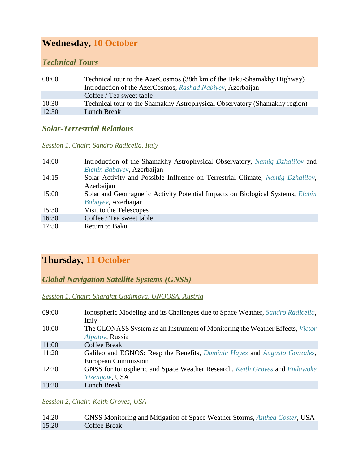### **Wednesday, 10 October**

#### *Technical Tours*

| 08:00 | Technical tour to the AzerCosmos (38th km of the Baku-Shamakhy Highway)<br>Introduction of the AzerCosmos, Rashad Nabiyev, Azerbaijan |
|-------|---------------------------------------------------------------------------------------------------------------------------------------|
|       | Coffee / Tea sweet table                                                                                                              |
| 10:30 | Technical tour to the Shamakhy Astrophysical Observatory (Shamakhy region)                                                            |
| 12:30 | Lunch Break                                                                                                                           |

### *Solar-Terrestrial Relations*

*Session 1, Chair: Sandro Radicella, Italy*

| 14:00 | Introduction of the Shamakhy Astrophysical Observatory, Namig Dzhalilov and           |
|-------|---------------------------------------------------------------------------------------|
|       | Elchin Babayev, Azerbaijan                                                            |
| 14:15 | Solar Activity and Possible Influence on Terrestrial Climate, Namig Dzhalilov,        |
|       | Azerbaijan                                                                            |
| 15:00 | Solar and Geomagnetic Activity Potential Impacts on Biological Systems, <i>Elchin</i> |
|       | Babayev, Azerbaijan                                                                   |
| 15:30 | Visit to the Telescopes                                                               |
| 16:30 | Coffee / Tea sweet table                                                              |
| 17:30 | Return to Baku                                                                        |

## **Thursday***,* **11 October**

*Global Navigation Satellite Systems (GNSS)*

*Session 1, Chair: Sharafat Gadimova, UNOOSA, Austria*

| 09:00 | Ionospheric Modeling and its Challenges due to Space Weather, Sandro Radicella,<br>Italy                               |
|-------|------------------------------------------------------------------------------------------------------------------------|
| 10:00 | The GLONASS System as an Instrument of Monitoring the Weather Effects, Victor<br>Alpatov, Russia                       |
| 11:00 | <b>Coffee Break</b>                                                                                                    |
| 11:20 | Galileo and EGNOS: Reap the Benefits, <i>Dominic Hayes</i> and <i>Augusto Gonzalez</i> ,<br><b>European Commission</b> |
| 12:20 | GNSS for Ionospheric and Space Weather Research, Keith Groves and Endawoke<br>Yizengaw, USA                            |
| 13:20 | Lunch Break                                                                                                            |

*Session 2, Chair: Keith Groves, USA* 

| 14:20 | GNSS Monitoring and Mitigation of Space Weather Storms, Anthea Coster, USA |
|-------|----------------------------------------------------------------------------|
| 15:20 | Coffee Break                                                               |